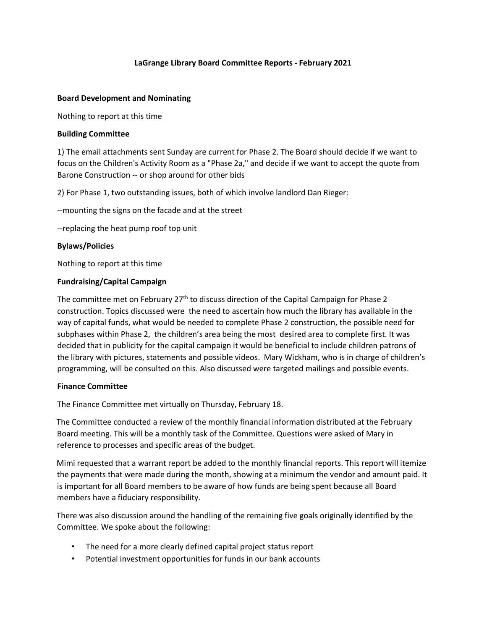### **LaGrange Library Board Committee Reports - February 2021**

#### **Board Development and Nominating**

Nothing to report at this time

#### **Building Committee**

1) The email attachments sent Sunday are current for Phase 2. The Board should decide if we want to focus on the Children's Activity Room as a "Phase 2a," and decide if we want to accept the quote from Barone Construction -- or shop around for other bids

2) For Phase 1, two outstanding issues, both of which involve landlord Dan Rieger:

--mounting the signs on the facade and at the street

--replacing the heat pump roof top unit

#### **Bylaws/Policies**

Nothing to report at this time

### **Fundraising/Capital Campaign**

The committee met on February  $27<sup>th</sup>$  to discuss direction of the Capital Campaign for Phase 2 construction. Topics discussed were the need to ascertain how much the library has available in the way of capital funds, what would be needed to complete Phase 2 construction, the possible need for subphases within Phase 2, the children's area being the most desired area to complete first. It was decided that in publicity for the capital campaign it would be beneficial to include children patrons of the library with pictures, statements and possible videos. Mary Wickham, who is in charge of children's programming, will be consulted on this. Also discussed were targeted mailings and possible events.

#### **Finance Committee**

The Finance Committee met virtually on Thursday, February 18.

The Committee conducted a review of the monthly financial information distributed at the February Board meeting. This will be a monthly task of the Committee. Questions were asked of Mary in reference to processes and specific areas of the budget.

Mimi requested that a warrant report be added to the monthly financial reports. This report will itemize the payments that were made during the month, showing at a minimum the vendor and amount paid. It is important for all Board members to be aware of how funds are being spent because all Board members have a fiduciary responsibility.

There was also discussion around the handling of the remaining five goals originally identified by the Committee. We spoke about the following:

- The need for a more clearly defined capital project status report
- Potential investment opportunities for funds in our bank accounts